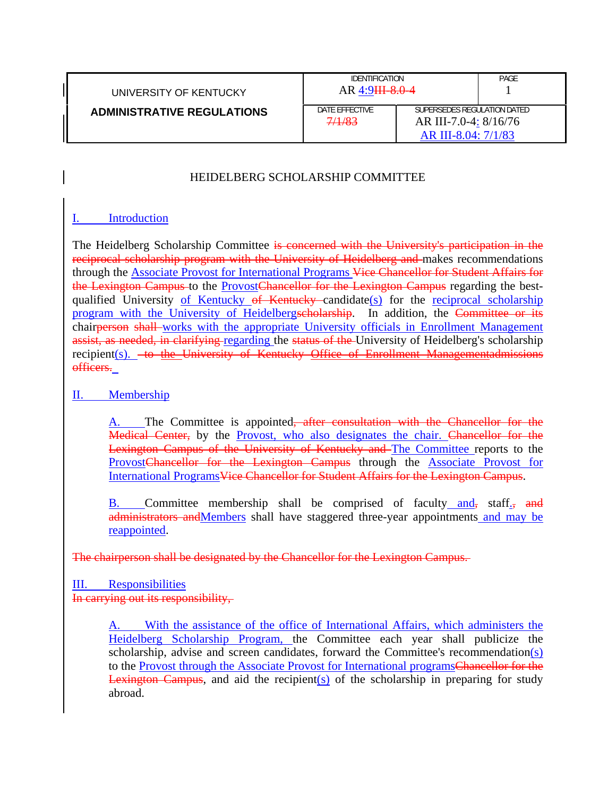| UNIVERSITY OF KENTUCKY            | <b>IDENTIFICATION</b><br>AR 4:9 H 8.0-4 |                                                                             | PAGE |
|-----------------------------------|-----------------------------------------|-----------------------------------------------------------------------------|------|
| <b>ADMINISTRATIVE REGULATIONS</b> | DATE EFFECTIVE<br>7/1/83                | SUPERSEDES REGULATION DATED<br>AR III-7.0-4: 8/16/76<br>AR III-8.04: 7/1/83 |      |

## HEIDELBERG SCHOLARSHIP COMMITTEE

#### I. Introduction

The Heidelberg Scholarship Committee is concerned with the University's participation in the reciprocal scholarship program with the University of Heidelberg and makes recommendations through the Associate Provost for International Programs Vice Chancellor for Student Affairs for the Lexington Campus to the **ProvostChancellor** for the Lexington Campus regarding the bestqualified University of Kentucky of Kentucky candidate(s) for the reciprocal scholarship program with the University of Heidelbergscholarship. In addition, the Committee or its chairperson shall works with the appropriate University officials in Enrollment Management assist, as needed, in clarifying regarding the status of the University of Heidelberg's scholarship recipient(s). <del>to the University of Kentucky Office of Enrollment Managementadmissions</del> officers.

#### II. Membership

A. The Committee is appointed, after consultation with the Chancellor for the Medical Center, by the Provost, who also designates the chair. Chancellor for the Lexington Campus of the University of Kentucky and The Committee reports to the ProvostChancellor for the Lexington Campus through the **Associate Provost** for International ProgramsVice Chancellor for Student Affairs for the Lexington Campus.

B. Committee membership shall be comprised of faculty and, staff., and administrators andMembers shall have staggered three-year appointments and may be reappointed.

The chairperson shall be designated by the Chancellor for the Lexington Campus.

III. Responsibilities

### In carrying out its responsibility,

A. With the assistance of the office of International Affairs, which administers the Heidelberg Scholarship Program, the Committee each year shall publicize the scholarship, advise and screen candidates, forward the Committee's recommendation(s) to the Provost through the Associate Provost for International programs<del>Chancellor for the</del> Lexington Campus, and aid the recipient( $s$ ) of the scholarship in preparing for study abroad.